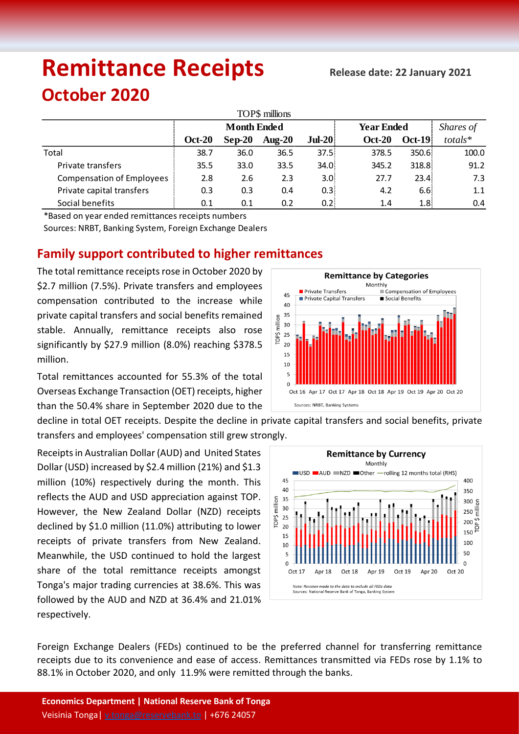# **Remittance Receipts Release date: <sup>22</sup> January 2021**

## **October 2020**

| TOP\$ millions                   |                    |          |           |          |                   |                  |           |  |  |  |  |  |
|----------------------------------|--------------------|----------|-----------|----------|-------------------|------------------|-----------|--|--|--|--|--|
|                                  | <b>Month Ended</b> |          |           |          | <b>Year Ended</b> |                  | Shares of |  |  |  |  |  |
|                                  | <b>Oct-20</b>      | $Sep-20$ | Aug- $20$ | $Jul-20$ | <b>Oct-20</b>     | $Oct-19$         | totals*   |  |  |  |  |  |
| Total                            | 38.7               | 36.0     | 36.5      | 37.5     | 378.5             | 350.6            | 100.0     |  |  |  |  |  |
| Private transfers                | 35.5               | 33.0     | 33.5      | 34.0     | 345.2             | 318.8            | 91.2      |  |  |  |  |  |
| <b>Compensation of Employees</b> | 2.8                | 2.6      | 2.3       | 3.OI     | 27.7              | 23.4             | 7.3       |  |  |  |  |  |
| Private capital transfers        | 0.3                | 0.3      | 0.4       | 0.3      | 4.2               | 6.6!             | 1.1       |  |  |  |  |  |
| Social benefits                  | 0.1                | 0.1      | 0.2       | 0.2      | 1.4               | 1.8 <sup>1</sup> | 0.4       |  |  |  |  |  |

\*Based on year ended remittances receipts numbers

Sources: NRBT, Banking System, Foreign Exchange Dealers

### **Family support contributed to higher remittances**

The total remittance receipts rose in October 2020 by \$2.7 million (7.5%). Private transfers and employees compensation contributed to the increase while private capital transfers and social benefits remained stable. Annually, remittance receipts also rose significantly by \$27.9 million (8.0%) reaching \$378.5 million.

Total remittances accounted for 55.3% of the total Overseas Exchange Transaction (OET) receipts, higher than the 50.4% share in September 2020 due to the



decline in total OET receipts. Despite the decline in private capital transfers and social benefits, private transfers and employees' compensation still grew strongly.

Receipts in Australian Dollar (AUD) and United States Dollar (USD) increased by \$2.4 million (21%) and \$1.3 million (10%) respectively during the month. This reflects the AUD and USD appreciation against TOP. However, the New Zealand Dollar (NZD) receipts declined by \$1.0 million (11.0%) attributing to lower receipts of private transfers from New Zealand. Meanwhile, the USD continued to hold the largest share of the total remittance receipts amongst Tonga's major trading currencies at 38.6%. This was followed by the AUD and NZD at 36.4% and 21.01% respectively.



Foreign Exchange Dealers (FEDs) continued to be the preferred channel for transferring remittance receipts due to its convenience and ease of access. Remittances transmitted via FEDs rose by 1.1% to 88.1% in October 2020, and only 11.9% were remitted through the banks.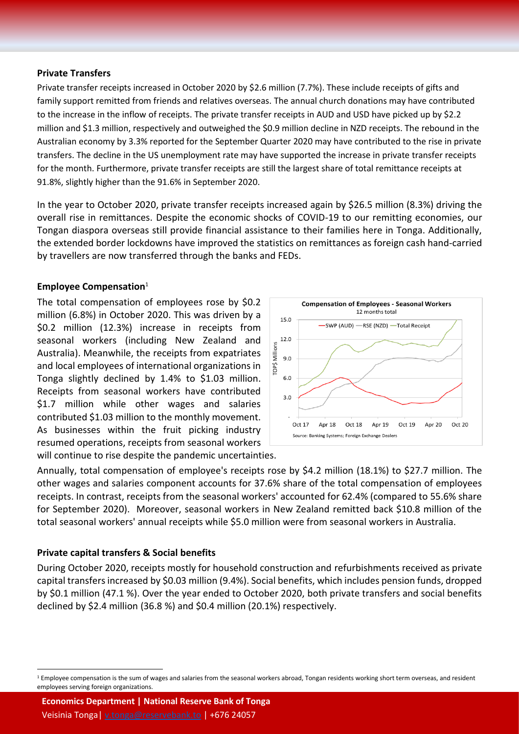#### **Private Transfers**

Private transfer receipts increased in October 2020 by \$2.6 million (7.7%). These include receipts of gifts and family support remitted from friends and relatives overseas. The annual church donations may have contributed to the increase in the inflow of receipts. The private transfer receipts in AUD and USD have picked up by \$2.2 million and \$1.3 million, respectively and outweighed the \$0.9 million decline in NZD receipts. The rebound in the Australian economy by 3.3% reported for the September Quarter 2020 may have contributed to the rise in private transfers. The decline in the US unemployment rate may have supported the increase in private transfer receipts for the month. Furthermore, private transfer receipts are still the largest share of total remittance receipts at 91.8%, slightly higher than the 91.6% in September 2020.

In the year to October 2020, private transfer receipts increased again by \$26.5 million (8.3%) driving the overall rise in remittances. Despite the economic shocks of COVID-19 to our remitting economies, our Tongan diaspora overseas still provide financial assistance to their families here in Tonga. Additionally, the extended border lockdowns have improved the statistics on remittances as foreign cash hand-carried by travellers are now transferred through the banks and FEDs.

#### **Employee Compensation**<sup>1</sup>

The total compensation of employees rose by \$0.2 million (6.8%) in October 2020. This was driven by a \$0.2 million (12.3%) increase in receipts from seasonal workers (including New Zealand and Australia). Meanwhile, the receipts from expatriates and local employees of international organizations in Tonga slightly declined by 1.4% to \$1.03 million. Receipts from seasonal workers have contributed \$1.7 million while other wages and salaries contributed \$1.03 million to the monthly movement. As businesses within the fruit picking industry resumed operations, receipts from seasonal workers will continue to rise despite the pandemic uncertainties.



Annually, total compensation of employee's receipts rose by \$4.2 million (18.1%) to \$27.7 million. The other wages and salaries component accounts for 37.6% share of the total compensation of employees receipts. In contrast, receipts from the seasonal workers' accounted for 62.4% (compared to 55.6% share for September 2020). Moreover, seasonal workers in New Zealand remitted back \$10.8 million of the total seasonal workers' annual receipts while \$5.0 million were from seasonal workers in Australia.

#### **Private capital transfers & Social benefits**

 $\overline{a}$ 

During October 2020, receipts mostly for household construction and refurbishments received as private capital transfers increased by \$0.03 million (9.4%). Social benefits, which includes pension funds, dropped by \$0.1 million (47.1 %). Over the year ended to October 2020, both private transfers and social benefits declined by \$2.4 million (36.8 %) and \$0.4 million (20.1%) respectively.

**Economics Department | National Reserve Bank of Tonga** Veisinia Tonga| [v.tonga@reservebank.to](mailto:v.tonga@reservebank.to) | +676 24057

<sup>&</sup>lt;sup>1</sup> Employee compensation is the sum of wages and salaries from the seasonal workers abroad, Tongan residents working short term overseas, and resident employees serving foreign organizations.